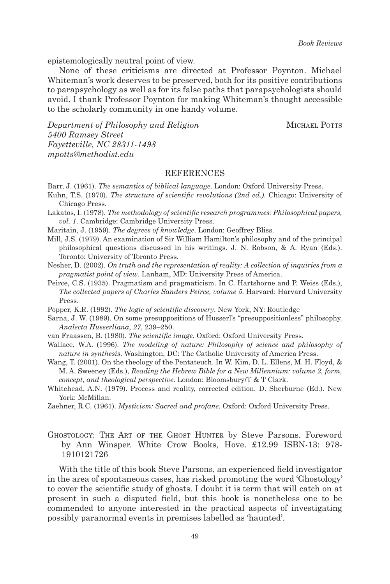epistemologically neutral point of view.

None of these criticisms are directed at Professor Poynton. Michael Whiteman's work deserves to be preserved, both for its positive contributions to parapsychology as well as for its false paths that parapsychologists should avoid. I thank Professor Poynton for making Whiteman's thought accessible to the scholarly community in one handy volume.

*Department of Philosophy and Religion* MICHAEL POTTS *5400 Ramsey Street Fayetteville, NC 28311-1498 mpotts@methodist.edu*

## REFERENCES

- Barr, J. (1961). *The semantics of biblical language*. London: Oxford University Press.
- Kuhn, T.S. (1970). *The structure of scientific revolutions (2nd ed.)*. Chicago: University of Chicago Press.
- Lakatos, I. (1978). *The methodology of scientific research programmes: Philosophical papers, vol. 1*. Cambridge: Cambridge University Press.
- Maritain, J. (1959). *The degrees of knowledge*. London: Geoffrey Bliss.
- Mill, J.S. (1979). An examination of Sir William Hamilton's philosophy and of the principal philosophical questions discussed in his writings. J. N. Robson, & A. Ryan (Eds.). Toronto: University of Toronto Press.
- Nesher, D. (2002). *On truth and the representation of reality: A collection of inquiries from a pragmatist point of view*. Lanham, MD: University Press of America.
- Peirce, C.S. (1935). Pragmatism and pragmaticism. In C. Hartshorne and P. Weiss (Eds.), *The collected papers of Charles Sanders Peirce, volume 5*. Harvard: Harvard University Press.
- Popper, K.R. (1992). *The logic of scientific discovery*. New York, NY: Routledge
- Sarna, J. W. (1989). On some presuppositions of Husserl's "presuppositionless" philosophy. *Analecta Husserliana*, *27*, 239–250.
- van Fraassen, B. (1980). *The scientific image.* Oxford: Oxford University Press.
- Wallace, W.A. (1996). *The modeling of nature: Philosophy of science and philosophy of nature in synthesis*. Washington, DC: The Catholic University of America Press.
- Wang, T. (2001). On the theology of the Pentateuch. In W. Kim, D. L. Ellens, M. H. Floyd, & M. A. Sweeney (Eds.), *Reading the Hebrew Bible for a New Millennium: volume 2, form, concept, and theological perspective*. London: Bloomsbury/T & T Clark.
- Whitehead, A.N. (1979). Process and reality, corrected edition. D. Sherburne (Ed.). New York: McMillan.
- Zaehner, R.C. (1961). *Mysticism: Sacred and profane*. Oxford: Oxford University Press.
- Ghostology: The Art of the Ghost Hunter by Steve Parsons. Foreword by Ann Winsper. White Crow Books, Hove. £12.99 ISBN-13: 978- 1910121726

With the title of this book Steve Parsons, an experienced field investigator in the area of spontaneous cases, has risked promoting the word 'Ghostology' to cover the scientific study of ghosts. I doubt it is term that will catch on at present in such a disputed field, but this book is nonetheless one to be commended to anyone interested in the practical aspects of investigating possibly paranormal events in premises labelled as 'haunted'.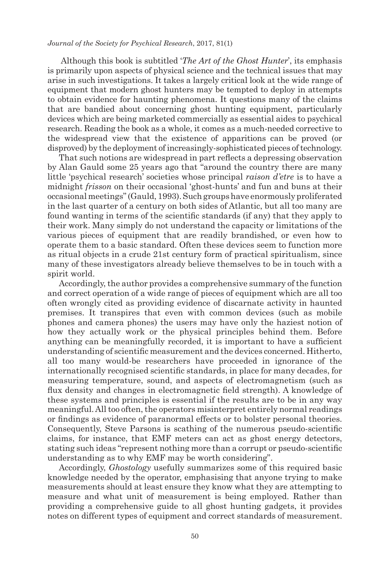## *Journal of the Society for Psychical Research*, 2017, 81(1)

 Although this book is subtitled '*The Art of the Ghost Hunter*', its emphasis is primarily upon aspects of physical science and the technical issues that may arise in such investigations. It takes a largely critical look at the wide range of equipment that modern ghost hunters may be tempted to deploy in attempts to obtain evidence for haunting phenomena. It questions many of the claims that are bandied about concerning ghost hunting equipment, particularly devices which are being marketed commercially as essential aides to psychical research. Reading the book as a whole, it comes as a much-needed corrective to the widespread view that the existence of apparitions can be proved (or disproved) by the deployment of increasingly-sophisticated pieces of technology.

That such notions are widespread in part reflects a depressing observation by Alan Gauld some 25 years ago that "around the country there are many little 'psychical research' societies whose principal *raison d'etre* is to have a midnight *frisson* on their occasional 'ghost-hunts' and fun and buns at their occasional meetings" (Gauld, 1993). Such groups have enormously proliferated in the last quarter of a century on both sides of Atlantic, but all too many are found wanting in terms of the scientific standards (if any) that they apply to their work. Many simply do not understand the capacity or limitations of the various pieces of equipment that are readily brandished, or even how to operate them to a basic standard. Often these devices seem to function more as ritual objects in a crude 21st century form of practical spiritualism, since many of these investigators already believe themselves to be in touch with a spirit world.

Accordingly, the author provides a comprehensive summary of the function and correct operation of a wide range of pieces of equipment which are all too often wrongly cited as providing evidence of discarnate activity in haunted premises. It transpires that even with common devices (such as mobile phones and camera phones) the users may have only the haziest notion of how they actually work or the physical principles behind them. Before anything can be meaningfully recorded, it is important to have a sufficient understanding of scientific measurement and the devices concerned. Hitherto, all too many would-be researchers have proceeded in ignorance of the internationally recognised scientific standards, in place for many decades, for measuring temperature, sound, and aspects of electromagnetism (such as flux density and changes in electromagnetic field strength). A knowledge of these systems and principles is essential if the results are to be in any way meaningful. All too often, the operators misinterpret entirely normal readings or findings as evidence of paranormal effects or to bolster personal theories. Consequently, Steve Parsons is scathing of the numerous pseudo-scientific claims, for instance, that EMF meters can act as ghost energy detectors, stating such ideas "represent nothing more than a corrupt or pseudo-scientific understanding as to why EMF may be worth considering".

Accordingly, *Ghostology* usefully summarizes some of this required basic knowledge needed by the operator, emphasising that anyone trying to make measurements should at least ensure they know what they are attempting to measure and what unit of measurement is being employed. Rather than providing a comprehensive guide to all ghost hunting gadgets, it provides notes on different types of equipment and correct standards of measurement.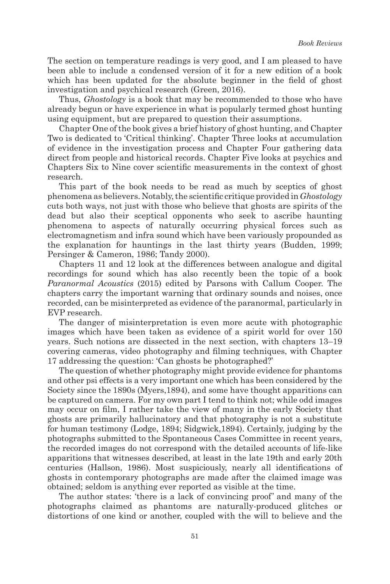The section on temperature readings is very good, and I am pleased to have been able to include a condensed version of it for a new edition of a book which has been updated for the absolute beginner in the field of ghost investigation and psychical research (Green, 2016).

Thus, *Ghostology* is a book that may be recommended to those who have already begun or have experience in what is popularly termed ghost hunting using equipment, but are prepared to question their assumptions.

Chapter One of the book gives a brief history of ghost hunting, and Chapter Two is dedicated to 'Critical thinking'. Chapter Three looks at accumulation of evidence in the investigation process and Chapter Four gathering data direct from people and historical records. Chapter Five looks at psychics and Chapters Six to Nine cover scientific measurements in the context of ghost research.

This part of the book needs to be read as much by sceptics of ghost phenomena as believers. Notably, the scientific critique provided in *Ghostology*  cuts both ways, not just with those who believe that ghosts are spirits of the dead but also their sceptical opponents who seek to ascribe haunting phenomena to aspects of naturally occurring physical forces such as electromagnetism and infra sound which have been variously propounded as the explanation for hauntings in the last thirty years (Budden, 1999; Persinger & Cameron, 1986; Tandy 2000).

Chapters 11 and 12 look at the differences between analogue and digital recordings for sound which has also recently been the topic of a book *Paranormal Acoustics* (2015) edited by Parsons with Callum Cooper. The chapters carry the important warning that ordinary sounds and noises, once recorded, can be misinterpreted as evidence of the paranormal, particularly in EVP research.

The danger of misinterpretation is even more acute with photographic images which have been taken as evidence of a spirit world for over 150 years. Such notions are dissected in the next section, with chapters 13–19 covering cameras, video photography and filming techniques, with Chapter 17 addressing the question: 'Can ghosts be photographed?'

The question of whether photography might provide evidence for phantoms and other psi effects is a very important one which has been considered by the Society since the 1890s (Myers,1894), and some have thought apparitions can be captured on camera. For my own part I tend to think not; while odd images may occur on film, I rather take the view of many in the early Society that ghosts are primarily hallucinatory and that photography is not a substitute for human testimony (Lodge, 1894; Sidgwick,1894). Certainly, judging by the photographs submitted to the Spontaneous Cases Committee in recent years, the recorded images do not correspond with the detailed accounts of life-like apparitions that witnesses described, at least in the late 19th and early 20th centuries (Hallson, 1986). Most suspiciously, nearly all identifications of ghosts in contemporary photographs are made after the claimed image was obtained; seldom is anything ever reported as visible at the time.

The author states: 'there is a lack of convincing proof' and many of the photographs claimed as phantoms are naturally-produced glitches or distortions of one kind or another, coupled with the will to believe and the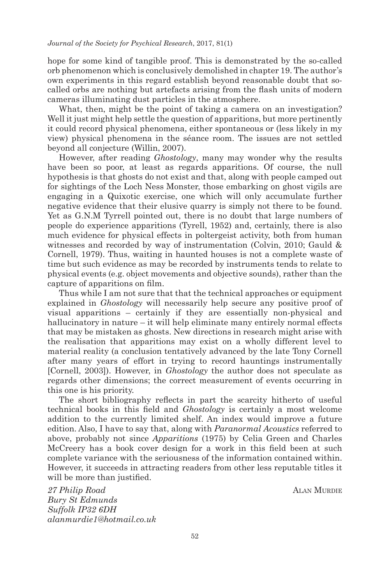hope for some kind of tangible proof. This is demonstrated by the so-called orb phenomenon which is conclusively demolished in chapter 19. The author's own experiments in this regard establish beyond reasonable doubt that socalled orbs are nothing but artefacts arising from the flash units of modern cameras illuminating dust particles in the atmosphere.

What, then, might be the point of taking a camera on an investigation? Well it just might help settle the question of apparitions, but more pertinently it could record physical phenomena, either spontaneous or (less likely in my view) physical phenomena in the séance room. The issues are not settled beyond all conjecture (Willin, 2007).

However, after reading *Ghostology*, many may wonder why the results have been so poor, at least as regards apparitions. Of course, the null hypothesis is that ghosts do not exist and that, along with people camped out for sightings of the Loch Ness Monster, those embarking on ghost vigils are engaging in a Quixotic exercise, one which will only accumulate further negative evidence that their elusive quarry is simply not there to be found. Yet as G.N.M Tyrrell pointed out, there is no doubt that large numbers of people do experience apparitions (Tyrell, 1952) and, certainly, there is also much evidence for physical effects in poltergeist activity, both from human witnesses and recorded by way of instrumentation (Colvin, 2010; Gauld & Cornell, 1979). Thus, waiting in haunted houses is not a complete waste of time but such evidence as may be recorded by instruments tends to relate to physical events (e.g. object movements and objective sounds), rather than the capture of apparitions on film.

Thus while I am not sure that that the technical approaches or equipment explained in *Ghostology* will necessarily help secure any positive proof of visual apparitions – certainly if they are essentially non-physical and hallucinatory in nature – it will help eliminate many entirely normal effects that may be mistaken as ghosts. New directions in research might arise with the realisation that apparitions may exist on a wholly different level to material reality (a conclusion tentatively advanced by the late Tony Cornell after many years of effort in trying to record hauntings instrumentally [Cornell, 2003]). However, in *Ghostology* the author does not speculate as regards other dimensions; the correct measurement of events occurring in this one is his priority.

The short bibliography reflects in part the scarcity hitherto of useful technical books in this field and *Ghostology* is certainly a most welcome addition to the currently limited shelf. An index would improve a future edition. Also, I have to say that, along with *Paranormal Acoustics* referred to above, probably not since *Apparitions* (1975) by Celia Green and Charles McCreery has a book cover design for a work in this field been at such complete variance with the seriousness of the information contained within. However, it succeeds in attracting readers from other less reputable titles it will be more than justified.

*27 Philip Road* ALAN MURDIE *Bury St Edmunds Suffolk IP32 6DH alanmurdie1@hotmail.co.uk*